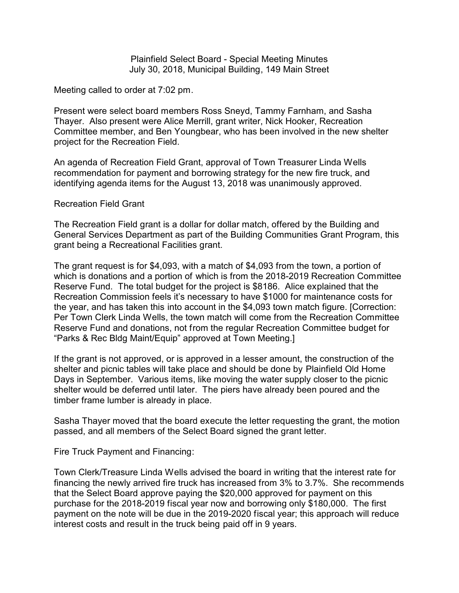Plainfield Select Board - Special Meeting Minutes July 30, 2018, Municipal Building, 149 Main Street

Meeting called to order at 7:02 pm.

Present were select board members Ross Sneyd, Tammy Farnham, and Sasha Thayer. Also present were Alice Merrill, grant writer, Nick Hooker, Recreation Committee member, and Ben Youngbear, who has been involved in the new shelter project for the Recreation Field.

An agenda of Recreation Field Grant, approval of Town Treasurer Linda Wells recommendation for payment and borrowing strategy for the new fire truck, and identifying agenda items for the August 13, 2018 was unanimously approved.

## Recreation Field Grant

The Recreation Field grant is a dollar for dollar match, offered by the Building and General Services Department as part of the Building Communities Grant Program, this grant being a Recreational Facilities grant.

The grant request is for \$4,093, with a match of \$4,093 from the town, a portion of which is donations and a portion of which is from the 2018-2019 Recreation Committee Reserve Fund. The total budget for the project is \$8186. Alice explained that the Recreation Commission feels it's necessary to have \$1000 for maintenance costs for the year, and has taken this into account in the \$4,093 town match figure. [Correction: Per Town Clerk Linda Wells, the town match will come from the Recreation Committee Reserve Fund and donations, not from the regular Recreation Committee budget for "Parks & Rec Bldg Maint/Equip" approved at Town Meeting.]

If the grant is not approved, or is approved in a lesser amount, the construction of the shelter and picnic tables will take place and should be done by Plainfield Old Home Days in September. Various items, like moving the water supply closer to the picnic shelter would be deferred until later. The piers have already been poured and the timber frame lumber is already in place.

Sasha Thayer moved that the board execute the letter requesting the grant, the motion passed, and all members of the Select Board signed the grant letter.

Fire Truck Payment and Financing:

Town Clerk/Treasure Linda Wells advised the board in writing that the interest rate for financing the newly arrived fire truck has increased from 3% to 3.7%. She recommends that the Select Board approve paying the \$20,000 approved for payment on this purchase for the 2018-2019 fiscal year now and borrowing only \$180,000. The first payment on the note will be due in the 2019-2020 fiscal year; this approach will reduce interest costs and result in the truck being paid off in 9 years.